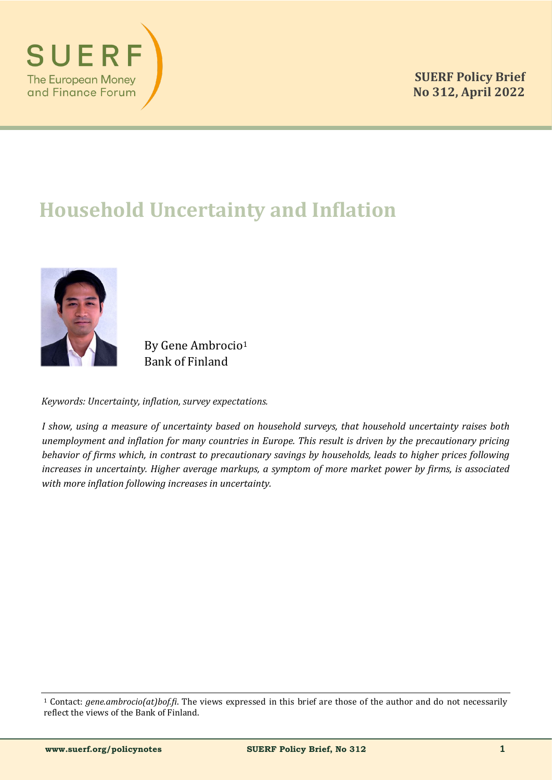

# **Household Uncertainty and Inflation**



By Gene Ambrocio<sup>1</sup> Bank of Finland

*Keywords: Uncertainty, inflation, survey expectations.*

*I show, using a measure of uncertainty based on household surveys, that household uncertainty raises both unemployment and inflation for many countries in Europe. This result is driven by the precautionary pricing behavior of firms which, in contrast to precautionary savings by households, leads to higher prices following increases in uncertainty. Higher average markups, a symptom of more market power by firms, is associated with more inflation following increases in uncertainty.* 

<sup>1</sup> Contact: *gene.ambrocio(at)bof.fi*. The views expressed in this brief are those of the author and do not necessarily reflect the views of the Bank of Finland.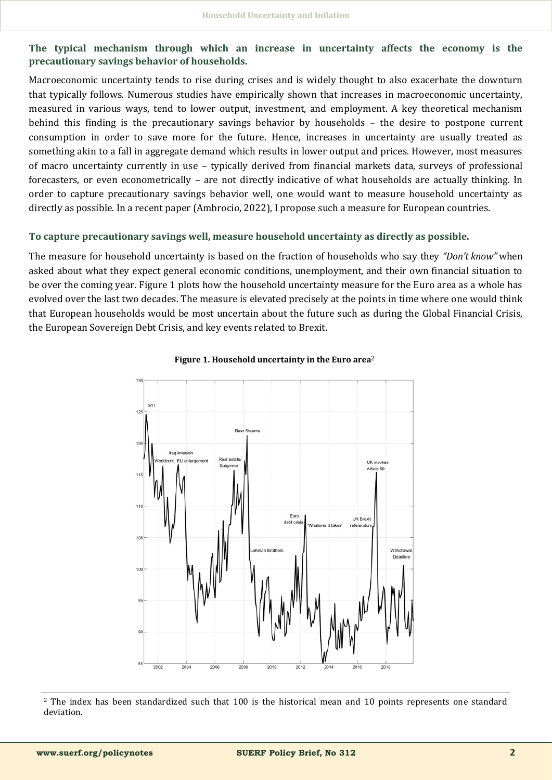**The typical mechanism through which an increase in uncertainty affects the economy is the precautionary savings behavior of households.**

Macroeconomic uncertainty tends to rise during crises and is widely thought to also exacerbate the downturn that typically follows. Numerous studies have empirically shown that increases in macroeconomic uncertainty, measured in various ways, tend to lower output, investment, and employment. A key theoretical mechanism behind this finding is the precautionary savings behavior by households – the desire to postpone current consumption in order to save more for the future. Hence, increases in uncertainty are usually treated as something akin to a fall in aggregate demand which results in lower output and prices. However, most measures of macro uncertainty currently in use – typically derived from financial markets data, surveys of professional forecasters, or even econometrically – are not directly indicative of what households are actually thinking. In order to capture precautionary savings behavior well, one would want to measure household uncertainty as directly as possible. In a recent paper (Ambrocio, 2022), I propose such a measure for European countries.

#### **To capture precautionary savings well, measure household uncertainty as directly as possible.**

The measure for household uncertainty is based on the fraction of households who say they *"Don't know"* when asked about what they expect general economic conditions, unemployment, and their own financial situation to be over the coming year. Figure 1 plots how the household uncertainty measure for the Euro area as a whole has evolved over the last two decades. The measure is elevated precisely at the points in time where one would think that European households would be most uncertain about the future such as during the Global Financial Crisis, the European Sovereign Debt Crisis, and key events related to Brexit.



#### **Figure 1. Household uncertainty in the Euro area**2

<sup>2</sup> The index has been standardized such that 100 is the historical mean and 10 points represents one standard deviation.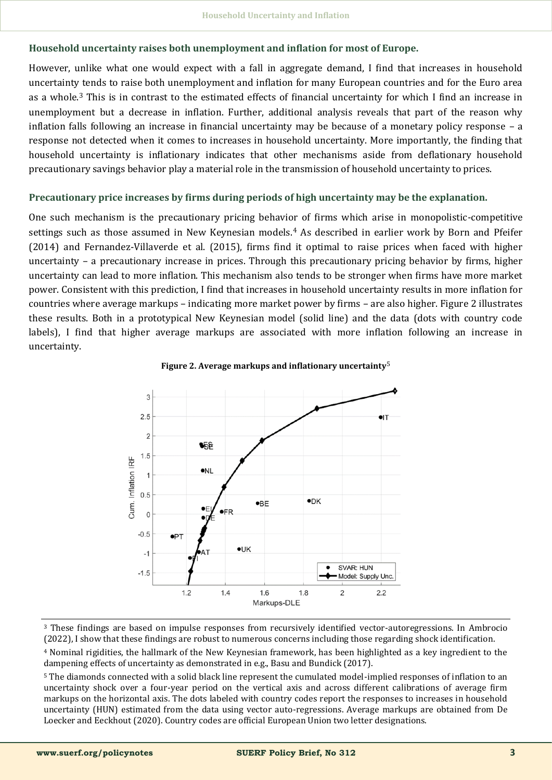## **Household uncertainty raises both unemployment and inflation for most of Europe.**

However, unlike what one would expect with a fall in aggregate demand, I find that increases in household uncertainty tends to raise both unemployment and inflation for many European countries and for the Euro area as a whole.<sup>3</sup> This is in contrast to the estimated effects of financial uncertainty for which I find an increase in unemployment but a decrease in inflation. Further, additional analysis reveals that part of the reason why inflation falls following an increase in financial uncertainty may be because of a monetary policy response – a response not detected when it comes to increases in household uncertainty. More importantly, the finding that household uncertainty is inflationary indicates that other mechanisms aside from deflationary household precautionary savings behavior play a material role in the transmission of household uncertainty to prices.

#### **Precautionary price increases by firms during periods of high uncertainty may be the explanation.**

One such mechanism is the precautionary pricing behavior of firms which arise in monopolistic-competitive settings such as those assumed in New Keynesian models.<sup>4</sup> As described in earlier work by Born and Pfeifer (2014) and Fernandez-Villaverde et al. (2015), firms find it optimal to raise prices when faced with higher uncertainty – a precautionary increase in prices. Through this precautionary pricing behavior by firms, higher uncertainty can lead to more inflation. This mechanism also tends to be stronger when firms have more market power. Consistent with this prediction, I find that increases in household uncertainty results in more inflation for countries where average markups – indicating more market power by firms – are also higher. Figure 2 illustrates these results. Both in a prototypical New Keynesian model (solid line) and the data (dots with country code labels), I find that higher average markups are associated with more inflation following an increase in uncertainty.



#### **Figure 2. Average markups and inflationary uncertainty**5

<sup>3</sup> These findings are based on impulse responses from recursively identified vector-autoregressions. In Ambrocio (2022), I show that these findings are robust to numerous concerns including those regarding shock identification.

<sup>4</sup> Nominal rigidities, the hallmark of the New Keynesian framework, has been highlighted as a key ingredient to the dampening effects of uncertainty as demonstrated in e.g., Basu and Bundick (2017).

<sup>5</sup> The diamonds connected with a solid black line represent the cumulated model-implied responses of inflation to an uncertainty shock over a four-year period on the vertical axis and across different calibrations of average firm markups on the horizontal axis. The dots labeled with country codes report the responses to increases in household uncertainty (HUN) estimated from the data using vector auto-regressions. Average markups are obtained from De Loecker and Eeckhout (2020). Country codes are official European Union two letter designations.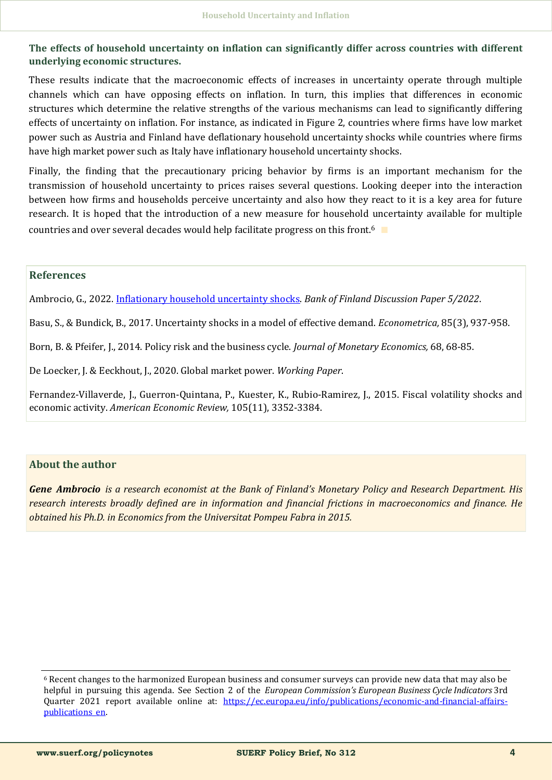**The effects of household uncertainty on inflation can significantly differ across countries with different underlying economic structures.**

These results indicate that the macroeconomic effects of increases in uncertainty operate through multiple channels which can have opposing effects on inflation. In turn, this implies that differences in economic structures which determine the relative strengths of the various mechanisms can lead to significantly differing effects of uncertainty on inflation. For instance, as indicated in Figure 2, countries where firms have low market power such as Austria and Finland have deflationary household uncertainty shocks while countries where firms have high market power such as Italy have inflationary household uncertainty shocks.

Finally, the finding that the precautionary pricing behavior by firms is an important mechanism for the transmission of household uncertainty to prices raises several questions. Looking deeper into the interaction between how firms and households perceive uncertainty and also how they react to it is a key area for future research. It is hoped that the introduction of a new measure for household uncertainty available for multiple countries and over several decades would help facilitate progress on this front.<sup>6</sup> ∎

#### **References**

Ambrocio, G., 2022. [Inflationary household uncertainty shocks.](https://helda.helsinki.fi/bof/bitstream/handle/123456789/18298/BoF_DP_2205.pdf?sequence=1&isAllowed=y) *Bank of Finland Discussion Paper 5/2022*.

Basu, S., & Bundick, B., 2017. Uncertainty shocks in a model of effective demand. *Econometrica,* 85(3), 937-958.

Born, B. & Pfeifer, J., 2014. Policy risk and the business cycle. *Journal of Monetary Economics,* 68, 68-85.

De Loecker, J. & Eeckhout, J., 2020. Global market power. *Working Paper*.

Fernandez-Villaverde, J., Guerron-Quintana, P., Kuester, K., Rubio-Ramirez, J., 2015. Fiscal volatility shocks and economic activity. *American Economic Review,* 105(11), 3352-3384.

## **About the author**

*Gene Ambrocio is a research economist at the Bank of Finland's Monetary Policy and Research Department. His research interests broadly defined are in information and financial frictions in macroeconomics and finance. He obtained his Ph.D. in Economics from the Universitat Pompeu Fabra in 2015.*

<sup>6</sup> Recent changes to the harmonized European business and consumer surveys can provide new data that may also be helpful in pursuing this agenda. See Section 2 of the *European Commission's European Business Cycle Indicators* 3rd Quarter 2021 report available online at: [https://ec.europa.eu/info/publications/economic](https://ec.europa.eu/info/publications/economic-and-financial-affairs-publications_en)-and-financial-affairs[publications\\_en.](https://ec.europa.eu/info/publications/economic-and-financial-affairs-publications_en)